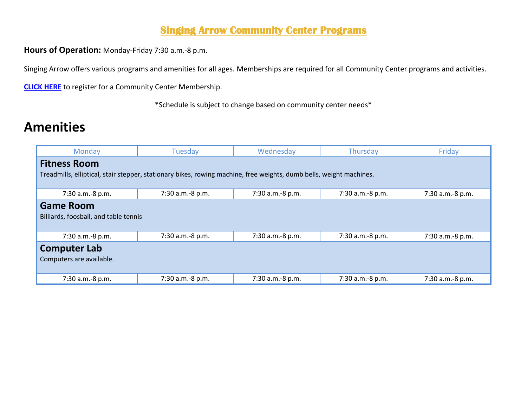## **Singing Arrow Community Center Programs**

**Hours of Operation:** Monday-Friday 7:30 a.m.-8 p.m.

Singing Arrow offers various programs and amenities for all ages. Memberships are required for all Community Center programs and activities.

**[CLICK HERE](https://web2.myvscloud.com/wbwsc/nmalbuquerquewt.wsc/search.html?module=PM&type=CC&SessionID=d846710dc56d5463f537aafcaa509fe683a16764b8a199b747fabb22a632bf00b5cd4ef582907e548730d0f15f5e48947ca2713046b42ddc29ca9d724aa72ffa)** to register for a Community Center Membership.

\*Schedule is subject to change based on community center needs\*

## **Amenities**

| Monday                                                                                                              | <b>Tuesday</b>   | Wednesday        | Thursday         | Friday           |  |  |  |
|---------------------------------------------------------------------------------------------------------------------|------------------|------------------|------------------|------------------|--|--|--|
| <b>Fitness Room</b>                                                                                                 |                  |                  |                  |                  |  |  |  |
| Treadmills, elliptical, stair stepper, stationary bikes, rowing machine, free weights, dumb bells, weight machines. |                  |                  |                  |                  |  |  |  |
| 7:30 a.m.-8 p.m.                                                                                                    | 7:30 a.m.-8 p.m. | 7:30 a.m.-8 p.m. | 7:30 a.m.-8 p.m. | 7:30 a.m.-8 p.m. |  |  |  |
| <b>Game Room</b>                                                                                                    |                  |                  |                  |                  |  |  |  |
| Billiards, foosball, and table tennis                                                                               |                  |                  |                  |                  |  |  |  |
| 7:30 a.m.-8 p.m.                                                                                                    | 7:30 a.m.-8 p.m. | 7:30 a.m.-8 p.m. | 7:30 a.m.-8 p.m. | 7:30 a.m.-8 p.m. |  |  |  |
| <b>Computer Lab</b>                                                                                                 |                  |                  |                  |                  |  |  |  |
| Computers are available.                                                                                            |                  |                  |                  |                  |  |  |  |
| 7:30 a.m.-8 p.m.                                                                                                    | 7:30 a.m.-8 p.m. | 7:30 a.m.-8 p.m. | 7:30 a.m.-8 p.m. | 7:30 a.m.-8 p.m. |  |  |  |